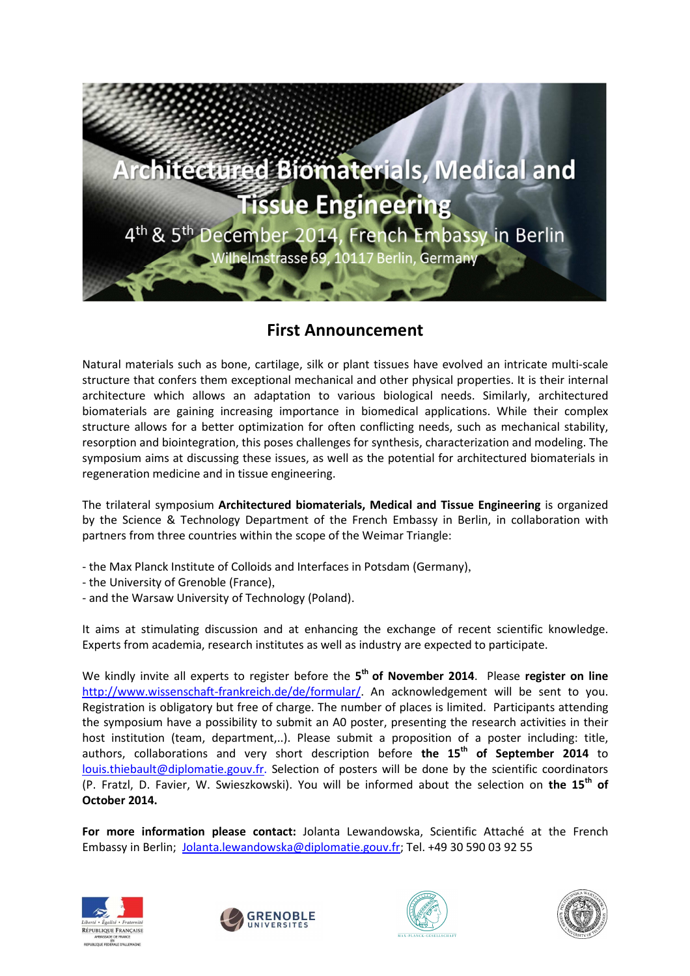

# **First Announcement**

Natural materials such as bone, cartilage, silk or plant tissues have evolved an intricate multi-scale structure that confers them exceptional mechanical and other physical properties. It is their internal architecture which allows an adaptation to various biological needs. Similarly, architectured biomaterials are gaining increasing importance in biomedical applications. While their complex structure allows for a better optimization for often conflicting needs, such as mechanical stability, resorption and biointegration, this poses challenges for synthesis, characterization and modeling. The symposium aims at discussing these issues, as well as the potential for architectured biomaterials in regeneration medicine and in tissue engineering.

The trilateral symposium **Architectured biomaterials, Medical and Tissue Engineering** is organized by the Science & Technology Department of the French Embassy in Berlin, in collaboration with partners from three countries within the scope of the Weimar Triangle:

- the Max Planck Institute of Colloids and Interfaces in Potsdam (Germany),
- the University of Grenoble (France),
- and the Warsaw University of Technology (Poland).

It aims at stimulating discussion and at enhancing the exchange of recent scientific knowledge. Experts from academia, research institutes as well as industry are expected to participate.

We kindly invite all experts to register before the **5 th of November 2014**. Please **register on line** http://www.wissenschaft-frankreich.de/de/formular/. An acknowledgement will be sent to you. Registration is obligatory but free of charge. The number of places is limited. Participants attending the symposium have a possibility to submit an A0 poster, presenting the research activities in their host institution (team, department,..). Please submit a proposition of a poster including: title, authors, collaborations and very short description before **the 15th of September 2014** to louis.thiebault@diplomatie.gouv.fr. Selection of posters will be done by the scientific coordinators (P. Fratzl, D. Favier, W. Swieszkowski). You will be informed about the selection on **the 15th of October 2014.**

**For more information please contact:** Jolanta Lewandowska, Scientific Attaché at the French Embassy in Berlin; Jolanta.lewandowska@diplomatie.gouv.fr; Tel. +49 30 590 03 92 55